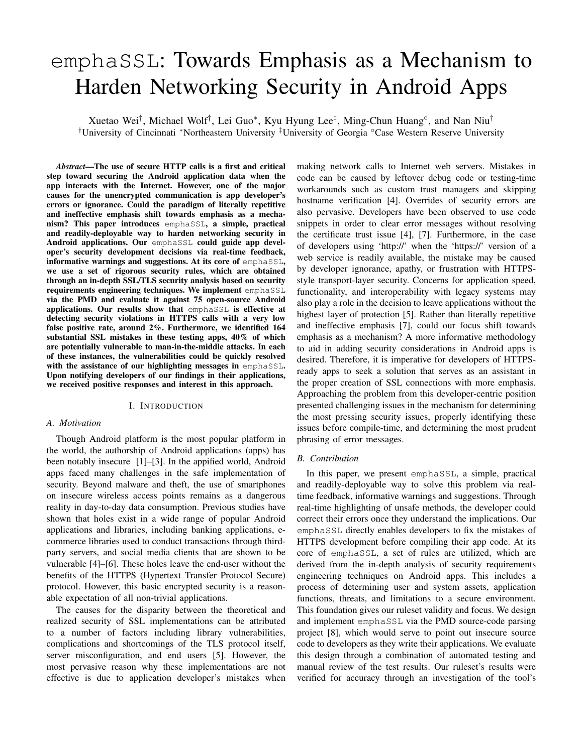# emphaSSL: Towards Emphasis as a Mechanism to Harden Networking Security in Android Apps

Xuetao Wei<sup>†</sup>, Michael Wolf<sup>†</sup>, Lei Guo\*, Kyu Hyung Lee<sup>‡</sup>, Ming-Chun Huang°, and Nan Niu<sup>†</sup> †University of Cincinnati <sup>∗</sup>Northeastern University ‡University of Georgia ◦Case Western Reserve University

*Abstract*—The use of secure HTTP calls is a first and critical step toward securing the Android application data when the app interacts with the Internet. However, one of the major causes for the unencrypted communication is app developer's errors or ignorance. Could the paradigm of literally repetitive and ineffective emphasis shift towards emphasis as a mechanism? This paper introduces emphaSSL, a simple, practical and readily-deployable way to harden networking security in Android applications. Our emphaSSL could guide app developer's security development decisions via real-time feedback, informative warnings and suggestions. At its core of emphaSSL, we use a set of rigorous security rules, which are obtained through an in-depth SSL/TLS security analysis based on security requirements engineering techniques. We implement emphaSSL via the PMD and evaluate it against 75 open-source Android applications. Our results show that emphaSSL is effective at detecting security violations in HTTPS calls with a very low false positive rate, around 2%. Furthermore, we identified 164 substantial SSL mistakes in these testing apps, 40% of which are potentially vulnerable to man-in-the-middle attacks. In each of these instances, the vulnerabilities could be quickly resolved with the assistance of our highlighting messages in emphaSSL. Upon notifying developers of our findings in their applications, we received positive responses and interest in this approach.

## I. INTRODUCTION

#### *A. Motivation*

Though Android platform is the most popular platform in the world, the authorship of Android applications (apps) has been notably insecure [1]–[3]. In the appified world, Android apps faced many challenges in the safe implementation of security. Beyond malware and theft, the use of smartphones on insecure wireless access points remains as a dangerous reality in day-to-day data consumption. Previous studies have shown that holes exist in a wide range of popular Android applications and libraries, including banking applications, ecommerce libraries used to conduct transactions through thirdparty servers, and social media clients that are shown to be vulnerable [4]–[6]. These holes leave the end-user without the benefits of the HTTPS (Hypertext Transfer Protocol Secure) protocol. However, this basic encrypted security is a reasonable expectation of all non-trivial applications.

The causes for the disparity between the theoretical and realized security of SSL implementations can be attributed to a number of factors including library vulnerabilities, complications and shortcomings of the TLS protocol itself, server misconfiguration, and end users [5]. However, the most pervasive reason why these implementations are not effective is due to application developer's mistakes when

making network calls to Internet web servers. Mistakes in code can be caused by leftover debug code or testing-time workarounds such as custom trust managers and skipping hostname verification [4]. Overrides of security errors are also pervasive. Developers have been observed to use code snippets in order to clear error messages without resolving the certificate trust issue [4], [7]. Furthermore, in the case of developers using 'http://' when the 'https://' version of a web service is readily available, the mistake may be caused by developer ignorance, apathy, or frustration with HTTPSstyle transport-layer security. Concerns for application speed, functionality, and interoperability with legacy systems may also play a role in the decision to leave applications without the highest layer of protection [5]. Rather than literally repetitive and ineffective emphasis [7], could our focus shift towards emphasis as a mechanism? A more informative methodology to aid in adding security considerations in Android apps is desired. Therefore, it is imperative for developers of HTTPSready apps to seek a solution that serves as an assistant in the proper creation of SSL connections with more emphasis. Approaching the problem from this developer-centric position presented challenging issues in the mechanism for determining the most pressing security issues, properly identifying these issues before compile-time, and determining the most prudent phrasing of error messages.

#### *B. Contribution*

In this paper, we present emphaSSL, a simple, practical and readily-deployable way to solve this problem via realtime feedback, informative warnings and suggestions. Through real-time highlighting of unsafe methods, the developer could correct their errors once they understand the implications. Our emphaSSL directly enables developers to fix the mistakes of HTTPS development before compiling their app code. At its core of emphaSSL, a set of rules are utilized, which are derived from the in-depth analysis of security requirements engineering techniques on Android apps. This includes a process of determining user and system assets, application functions, threats, and limitations to a secure environment. This foundation gives our ruleset validity and focus. We design and implement emphaSSL via the PMD source-code parsing project [8], which would serve to point out insecure source code to developers as they write their applications. We evaluate this design through a combination of automated testing and manual review of the test results. Our ruleset's results were verified for accuracy through an investigation of the tool's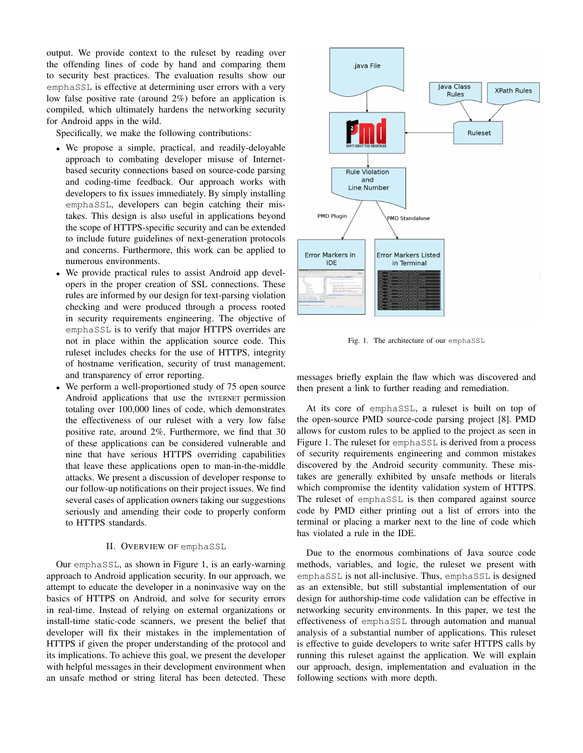output. We provide context to the ruleset by reading over the offending lines of code by hand and comparing them to security best practices. The evaluation results show our emphaSSL is effective at determining user errors with a very low false positive rate (around 2%) before an application is compiled, which ultimately hardens the networking security for Android apps in the wild.

Specifically, we make the following contributions:

- We propose a simple, practical, and readily-deloyable approach to combating developer misuse of Internetbased security connections based on source-code parsing and coding-time feedback. Our approach works with developers to fix issues immediately. By simply installing emphaSSL, developers can begin catching their mistakes. This design is also useful in applications beyond the scope of HTTPS-specific security and can be extended to include future guidelines of next-generation protocols and concerns. Furthermore, this work can be applied to numerous environments.
- We provide practical rules to assist Android app developers in the proper creation of SSL connections. These rules are informed by our design for text-parsing violation checking and were produced through a process rooted in security requirements engineering. The objective of emphaSSL is to verify that major HTTPS overrides are not in place within the application source code. This ruleset includes checks for the use of HTTPS, integrity of hostname verification, security of trust management, and transparency of error reporting.
- We perform a well-proportioned study of 75 open source Android applications that use the INTERNET permission totaling over 100,000 lines of code, which demonstrates the effectiveness of our ruleset with a very low false positive rate, around 2%. Furthermore, we find that 30 of these applications can be considered vulnerable and nine that have serious HTTPS overriding capabilities that leave these applications open to man-in-the-middle attacks. We present a discussion of developer response to our follow-up notifications on their project issues. We find several cases of application owners taking our suggestions seriously and amending their code to properly conform to HTTPS standards.

#### II. OVERVIEW OF emphaSSL

Our emphaSSL, as shown in Figure 1, is an early-warning approach to Android application security. In our approach, we attempt to educate the developer in a noninvasive way on the basics of HTTPS on Android, and solve for security errors in real-time. Instead of relying on external organizations or install-time static-code scanners, we present the belief that developer will fix their mistakes in the implementation of HTTPS if given the proper understanding of the protocol and its implications. To achieve this goal, we present the developer with helpful messages in their development environment when an unsafe method or string literal has been detected. These



Fig. 1. The architecture of our emphaSSL

messages briefly explain the flaw which was discovered and then present a link to further reading and remediation.

At its core of emphaSSL, a ruleset is built on top of the open-source PMD source-code parsing project [8]. PMD allows for custom rules to be applied to the project as seen in Figure 1. The ruleset for emphaSSL is derived from a process of security requirements engineering and common mistakes discovered by the Android security community. These mistakes are generally exhibited by unsafe methods or literals which compromise the identity validation system of HTTPS. The ruleset of emphaSSL is then compared against source code by PMD either printing out a list of errors into the terminal or placing a marker next to the line of code which has violated a rule in the IDE.

Due to the enormous combinations of Java source code methods, variables, and logic, the ruleset we present with emphaSSL is not all-inclusive. Thus, emphaSSL is designed as an extensible, but still substantial implementation of our design for authorship-time code validation can be effective in networking security environments. In this paper, we test the effectiveness of emphaSSL through automation and manual analysis of a substantial number of applications. This ruleset is effective to guide developers to write safer HTTPS calls by running this ruleset against the application. We will explain our approach, design, implementation and evaluation in the following sections with more depth.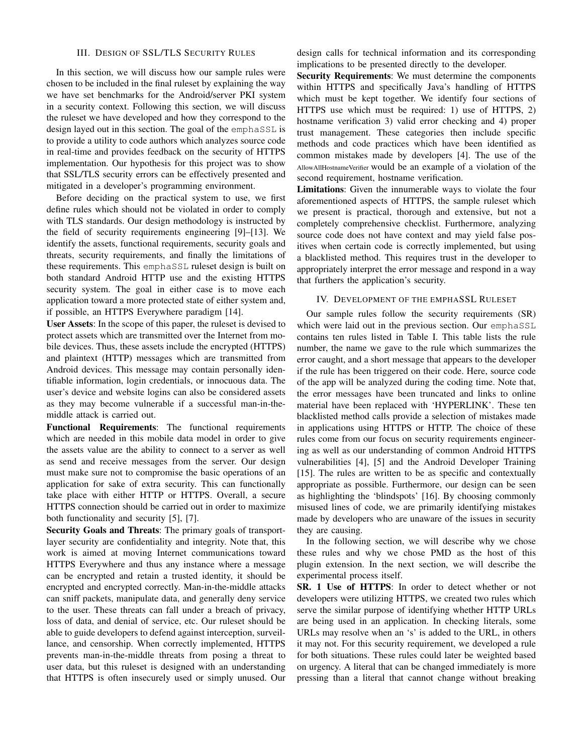# III. DESIGN OF SSL/TLS SECURITY RULES

In this section, we will discuss how our sample rules were chosen to be included in the final ruleset by explaining the way we have set benchmarks for the Android/server PKI system in a security context. Following this section, we will discuss the ruleset we have developed and how they correspond to the design layed out in this section. The goal of the emphaSSL is to provide a utility to code authors which analyzes source code in real-time and provides feedback on the security of HTTPS implementation. Our hypothesis for this project was to show that SSL/TLS security errors can be effectively presented and mitigated in a developer's programming environment.

Before deciding on the practical system to use, we first define rules which should not be violated in order to comply with TLS standards. Our design methodology is instructed by the field of security requirements engineering [9]–[13]. We identify the assets, functional requirements, security goals and threats, security requirements, and finally the limitations of these requirements. This emphaSSL ruleset design is built on both standard Android HTTP use and the existing HTTPS security system. The goal in either case is to move each application toward a more protected state of either system and, if possible, an HTTPS Everywhere paradigm [14].

User Assets: In the scope of this paper, the ruleset is devised to protect assets which are transmitted over the Internet from mobile devices. Thus, these assets include the encrypted (HTTPS) and plaintext (HTTP) messages which are transmitted from Android devices. This message may contain personally identifiable information, login credentials, or innocuous data. The user's device and website logins can also be considered assets as they may become vulnerable if a successful man-in-themiddle attack is carried out.

Functional Requirements: The functional requirements which are needed in this mobile data model in order to give the assets value are the ability to connect to a server as well as send and receive messages from the server. Our design must make sure not to compromise the basic operations of an application for sake of extra security. This can functionally take place with either HTTP or HTTPS. Overall, a secure HTTPS connection should be carried out in order to maximize both functionality and security [5], [7].

Security Goals and Threats: The primary goals of transportlayer security are confidentiality and integrity. Note that, this work is aimed at moving Internet communications toward HTTPS Everywhere and thus any instance where a message can be encrypted and retain a trusted identity, it should be encrypted and encrypted correctly. Man-in-the-middle attacks can sniff packets, manipulate data, and generally deny service to the user. These threats can fall under a breach of privacy, loss of data, and denial of service, etc. Our ruleset should be able to guide developers to defend against interception, surveillance, and censorship. When correctly implemented, HTTPS prevents man-in-the-middle threats from posing a threat to user data, but this ruleset is designed with an understanding that HTTPS is often insecurely used or simply unused. Our

design calls for technical information and its corresponding implications to be presented directly to the developer.

Security Requirements: We must determine the components within HTTPS and specifically Java's handling of HTTPS which must be kept together. We identify four sections of HTTPS use which must be required: 1) use of HTTPS, 2) hostname verification 3) valid error checking and 4) proper trust management. These categories then include specific methods and code practices which have been identified as common mistakes made by developers [4]. The use of the AllowAllHostnameVerifier would be an example of a violation of the second requirement, hostname verification.

Limitations: Given the innumerable ways to violate the four aforementioned aspects of HTTPS, the sample ruleset which we present is practical, thorough and extensive, but not a completely comprehensive checklist. Furthermore, analyzing source code does not have context and may yield false positives when certain code is correctly implemented, but using a blacklisted method. This requires trust in the developer to appropriately interpret the error message and respond in a way that furthers the application's security.

#### IV. DEVELOPMENT OF THE EMPHASSL RULESET

Our sample rules follow the security requirements (SR) which were laid out in the previous section. Our emphaSSL contains ten rules listed in Table I. This table lists the rule number, the name we gave to the rule which summarizes the error caught, and a short message that appears to the developer if the rule has been triggered on their code. Here, source code of the app will be analyzed during the coding time. Note that, the error messages have been truncated and links to online material have been replaced with 'HYPERLINK'. These ten blacklisted method calls provide a selection of mistakes made in applications using HTTPS or HTTP. The choice of these rules come from our focus on security requirements engineering as well as our understanding of common Android HTTPS vulnerabilities [4], [5] and the Android Developer Training [15]. The rules are written to be as specific and contextually appropriate as possible. Furthermore, our design can be seen as highlighting the 'blindspots' [16]. By choosing commonly misused lines of code, we are primarily identifying mistakes made by developers who are unaware of the issues in security they are causing.

In the following section, we will describe why we chose these rules and why we chose PMD as the host of this plugin extension. In the next section, we will describe the experimental process itself.

SR. 1 Use of HTTPS: In order to detect whether or not developers were utilizing HTTPS, we created two rules which serve the similar purpose of identifying whether HTTP URLs are being used in an application. In checking literals, some URLs may resolve when an 's' is added to the URL, in others it may not. For this security requirement, we developed a rule for both situations. These rules could later be weighted based on urgency. A literal that can be changed immediately is more pressing than a literal that cannot change without breaking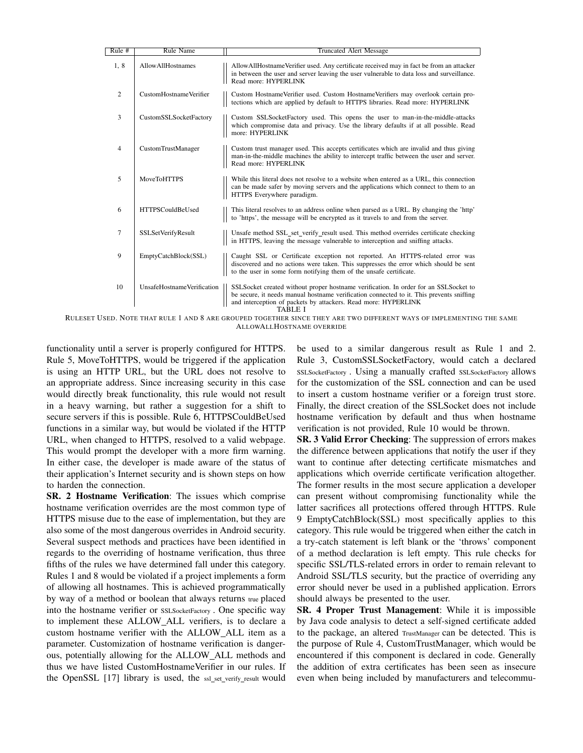| Rule #         | <b>Rule Name</b>           | <b>Truncated Alert Message</b>                                                                                                                                                                                                                                       |
|----------------|----------------------------|----------------------------------------------------------------------------------------------------------------------------------------------------------------------------------------------------------------------------------------------------------------------|
| 1, 8           | AllowAllHostnames          | AllowAllHostnameVerifier used. Any certificate received may in fact be from an attacker<br>in between the user and server leaving the user vulnerable to data loss and surveillance.<br>Read more: HYPERLINK                                                         |
| $\mathfrak{2}$ | CustomHostnameVerifier     | Custom Hostname Verifier used. Custom Hostname Verifiers may overlook certain pro-<br>tections which are applied by default to HTTPS libraries. Read more: HYPERLINK                                                                                                 |
| 3              | CustomSSLSocketFactory     | Custom SSLSocketFactory used. This opens the user to man-in-the-middle-attacks<br>which compromise data and privacy. Use the library defaults if at all possible. Read<br>more: HYPERLINK                                                                            |
| 4              | CustomTrustManager         | Custom trust manager used. This accepts certificates which are invalid and thus giving<br>man-in-the-middle machines the ability to intercept traffic between the user and server.<br>Read more: HYPERLINK                                                           |
| 5              | <b>MoveToHTTPS</b>         | While this literal does not resolve to a website when entered as a URL, this connection<br>can be made safer by moving servers and the applications which connect to them to an<br>HTTPS Everywhere paradigm.                                                        |
| 6              | <b>HTTPSCouldBeUsed</b>    | This literal resolves to an address online when parsed as a URL. By changing the 'http'<br>to 'https', the message will be encrypted as it travels to and from the server.                                                                                           |
| 7              | <b>SSLSetVerifyResult</b>  | Unsafe method SSL_set_verify_result used. This method overrides certificate checking<br>in HTTPS, leaving the message vulnerable to interception and sniffing attacks.                                                                                               |
| 9              | EmptyCatchBlock(SSL)       | Caught SSL or Certificate exception not reported. An HTTPS-related error was<br>discovered and no actions were taken. This suppresses the error which should be sent to the user in some form notifying them of the unsafe certificate.                              |
| 10             | UnsafeHostnameVerification | SSLSocket created without proper hostname verification. In order for an SSLSocket to<br>be secure, it needs manual hostname verification connected to it. This prevents sniffing<br>and interception of packets by attackers. Read more: HYPERLINK<br><b>TABLE I</b> |

RULESET USED. NOTE THAT RULE 1 AND 8 ARE GROUPED TOGETHER SINCE THEY ARE TWO DIFFERENT WAYS OF IMPLEMENTING THE SAME ALLOWALLHOSTNAME OVERRIDE

functionality until a server is properly configured for HTTPS. Rule 5, MoveToHTTPS, would be triggered if the application is using an HTTP URL, but the URL does not resolve to an appropriate address. Since increasing security in this case would directly break functionality, this rule would not result in a heavy warning, but rather a suggestion for a shift to secure servers if this is possible. Rule 6, HTTPSCouldBeUsed functions in a similar way, but would be violated if the HTTP URL, when changed to HTTPS, resolved to a valid webpage. This would prompt the developer with a more firm warning. In either case, the developer is made aware of the status of their application's Internet security and is shown steps on how to harden the connection.

SR. 2 Hostname Verification: The issues which comprise hostname verification overrides are the most common type of HTTPS misuse due to the ease of implementation, but they are also some of the most dangerous overrides in Android security. Several suspect methods and practices have been identified in regards to the overriding of hostname verification, thus three fifths of the rules we have determined fall under this category. Rules 1 and 8 would be violated if a project implements a form of allowing all hostnames. This is achieved programmatically by way of a method or boolean that always returns true placed into the hostname verifier or SSLSocketFactory . One specific way to implement these ALLOW ALL verifiers, is to declare a custom hostname verifier with the ALLOW ALL item as a parameter. Customization of hostname verification is dangerous, potentially allowing for the ALLOW ALL methods and thus we have listed CustomHostnameVerifier in our rules. If the OpenSSL [17] library is used, the ssl\_set\_verify\_result would be used to a similar dangerous result as Rule 1 and 2. Rule 3, CustomSSLSocketFactory, would catch a declared SSLSocketFactory . Using a manually crafted SSLSocketFactory allows for the customization of the SSL connection and can be used to insert a custom hostname verifier or a foreign trust store. Finally, the direct creation of the SSLSocket does not include hostname verification by default and thus when hostname verification is not provided, Rule 10 would be thrown.

SR. 3 Valid Error Checking: The suppression of errors makes the difference between applications that notify the user if they want to continue after detecting certificate mismatches and applications which override certificate verification altogether. The former results in the most secure application a developer can present without compromising functionality while the latter sacrifices all protections offered through HTTPS. Rule 9 EmptyCatchBlock(SSL) most specifically applies to this category. This rule would be triggered when either the catch in a try-catch statement is left blank or the 'throws' component of a method declaration is left empty. This rule checks for specific SSL/TLS-related errors in order to remain relevant to Android SSL/TLS security, but the practice of overriding any error should never be used in a published application. Errors should always be presented to the user.

SR. 4 Proper Trust Management: While it is impossible by Java code analysis to detect a self-signed certificate added to the package, an altered TrustManager can be detected. This is the purpose of Rule 4, CustomTrustManager, which would be encountered if this component is declared in code. Generally the addition of extra certificates has been seen as insecure even when being included by manufacturers and telecommu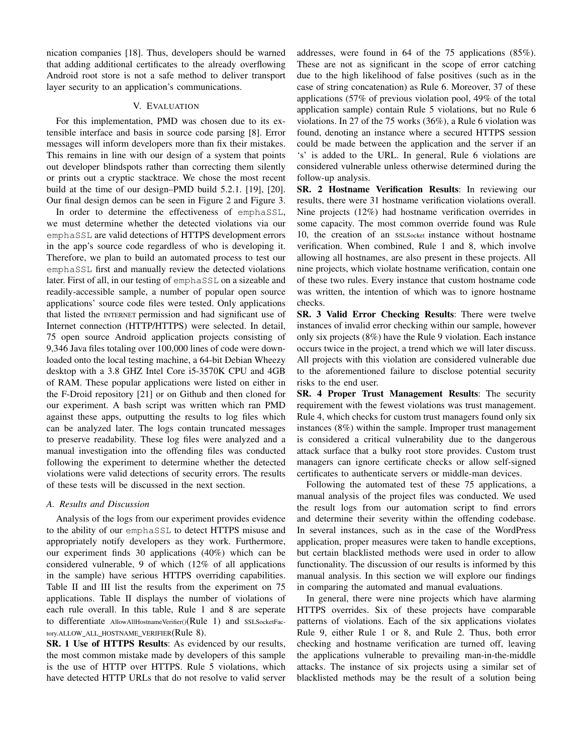nication companies [18]. Thus, developers should be warned that adding additional certificates to the already overflowing Android root store is not a safe method to deliver transport layer security to an application's communications.

#### V. EVALUATION

For this implementation, PMD was chosen due to its extensible interface and basis in source code parsing [8]. Error messages will inform developers more than fix their mistakes. This remains in line with our design of a system that points out developer blindspots rather than correcting them silently or prints out a cryptic stacktrace. We chose the most recent build at the time of our design–PMD build 5.2.1. [19], [20]. Our final design demos can be seen in Figure 2 and Figure 3.

In order to determine the effectiveness of emphaSSL, we must determine whether the detected violations via our emphaSSL are valid detections of HTTPS development errors in the app's source code regardless of who is developing it. Therefore, we plan to build an automated process to test our emphaSSL first and manually review the detected violations later. First of all, in our testing of emphaSSL on a sizeable and readily-accessible sample, a number of popular open source applications' source code files were tested. Only applications that listed the INTERNET permission and had significant use of Internet connection (HTTP/HTTPS) were selected. In detail, 75 open source Android application projects consisting of 9,346 Java files totaling over 100,000 lines of code were downloaded onto the local testing machine, a 64-bit Debian Wheezy desktop with a 3.8 GHZ Intel Core i5-3570K CPU and 4GB of RAM. These popular applications were listed on either in the F-Droid repository [21] or on Github and then cloned for our experiment. A bash script was written which ran PMD against these apps, outputting the results to log files which can be analyzed later. The logs contain truncated messages to preserve readability. These log files were analyzed and a manual investigation into the offending files was conducted following the experiment to determine whether the detected violations were valid detections of security errors. The results of these tests will be discussed in the next section.

#### *A. Results and Discussion*

Analysis of the logs from our experiment provides evidence to the ability of our emphaSSL to detect HTTPS misuse and appropriately notify developers as they work. Furthermore, our experiment finds 30 applications (40%) which can be considered vulnerable, 9 of which (12% of all applications in the sample) have serious HTTPS overriding capabilities. Table II and III list the results from the experiment on 75 applications. Table II displays the number of violations of each rule overall. In this table, Rule 1 and 8 are seperate to differentiate AllowAllHostnameVerifier()(Rule 1) and SSLSocketFactory.ALLOW\_ALL\_HOSTNAME\_VERIFIER(Rule 8).

SR. 1 Use of HTTPS Results: As evidenced by our results, the most common mistake made by developers of this sample is the use of HTTP over HTTPS. Rule 5 violations, which have detected HTTP URLs that do not resolve to valid server addresses, were found in 64 of the 75 applications (85%). These are not as significant in the scope of error catching due to the high likelihood of false positives (such as in the case of string concatenation) as Rule 6. Moreover, 37 of these applications (57% of previous violation pool, 49% of the total application sample) contain Rule 5 violations, but no Rule 6 violations. In 27 of the 75 works (36%), a Rule 6 violation was found, denoting an instance where a secured HTTPS session could be made between the application and the server if an 's' is added to the URL. In general, Rule 6 violations are considered vulnerable unless otherwise determined during the follow-up analysis.

SR. 2 Hostname Verification Results: In reviewing our results, there were 31 hostname verification violations overall. Nine projects (12%) had hostname verification overrides in some capacity. The most common override found was Rule 10, the creation of an SSLSocket instance without hostname verification. When combined, Rule 1 and 8, which involve allowing all hostnames, are also present in these projects. All nine projects, which violate hostname verification, contain one of these two rules. Every instance that custom hostname code was written, the intention of which was to ignore hostname checks.

SR. 3 Valid Error Checking Results: There were twelve instances of invalid error checking within our sample, however only six projects (8%) have the Rule 9 violation. Each instance occurs twice in the project, a trend which we will later discuss. All projects with this violation are considered vulnerable due to the aforementioned failure to disclose potential security risks to the end user.

SR. 4 Proper Trust Management Results: The security requirement with the fewest violations was trust management. Rule 4, which checks for custom trust managers found only six instances (8%) within the sample. Improper trust management is considered a critical vulnerability due to the dangerous attack surface that a bulky root store provides. Custom trust managers can ignore certificate checks or allow self-signed certificates to authenticate servers or middle-man devices.

Following the automated test of these 75 applications, a manual analysis of the project files was conducted. We used the result logs from our automation script to find errors and determine their severity within the offending codebase. In several instances, such as in the case of the WordPress application, proper measures were taken to handle exceptions, but certain blacklisted methods were used in order to allow functionality. The discussion of our results is informed by this manual analysis. In this section we will explore our findings in comparing the automated and manual evaluations.

In general, there were nine projects which have alarming HTTPS overrides. Six of these projects have comparable patterns of violations. Each of the six applications violates Rule 9, either Rule 1 or 8, and Rule 2. Thus, both error checking and hostname verification are turned off, leaving the applications vulnerable to prevailing man-in-the-middle attacks. The instance of six projects using a similar set of blacklisted methods may be the result of a solution being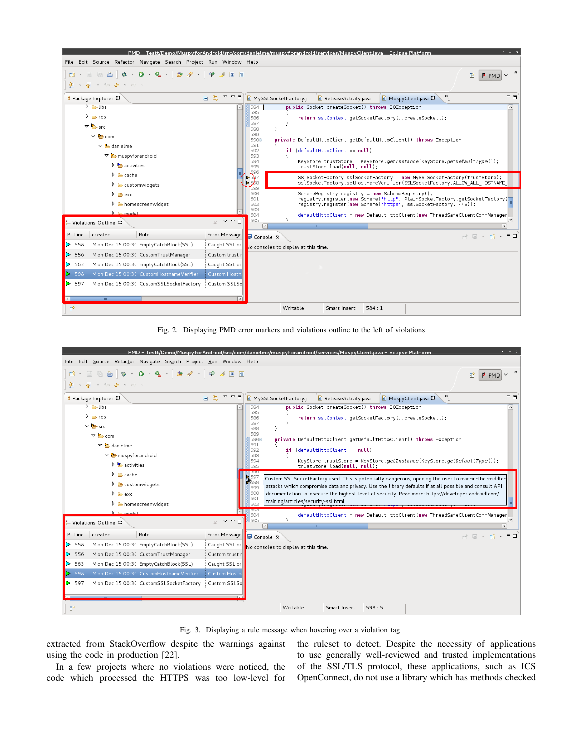

Fig. 2. Displaying PMD error markers and violations outline to the left of violations

|                                                                                                                                                                                                                                                                     |                                      | $\sim$ $\sim$ $\times$<br>PMD - Testt/Demo/MuspyforAndroid/src/com/danielme/muspyforandroid/services/MuspyClient.java - Eclipse Platform                                                                                                                                                                                                                                                                                                                                                                    |  |  |
|---------------------------------------------------------------------------------------------------------------------------------------------------------------------------------------------------------------------------------------------------------------------|--------------------------------------|-------------------------------------------------------------------------------------------------------------------------------------------------------------------------------------------------------------------------------------------------------------------------------------------------------------------------------------------------------------------------------------------------------------------------------------------------------------------------------------------------------------|--|--|
| File Edit Source Refactor Navigate Search Project Run Window Help                                                                                                                                                                                                   |                                      |                                                                                                                                                                                                                                                                                                                                                                                                                                                                                                             |  |  |
| 0. 8 & \$ * . 0 . 0 . 5 . 6 . 6 . 6 . 6 . 8 . 8 .<br>$\mathfrak{B} \rightarrow \mathfrak{B} \rightarrow \mathfrak{B} \rightarrow \mathfrak{S} \rightarrow \mathbb{R}$                                                                                               |                                      | 曾<br>P PMD                                                                                                                                                                                                                                                                                                                                                                                                                                                                                                  |  |  |
| ■ Package Explorer 23                                                                                                                                                                                                                                               | $\triangledown$ $\blacksquare$<br>日气 | $\ddot{ }$ <sup>1</sup><br>$=$ $\Box$<br>MySSLSocketFactory.j<br>ReleaseActivity.java<br>MuspyClient.java &                                                                                                                                                                                                                                                                                                                                                                                                 |  |  |
| $\triangleright$ $\triangleright$ libs<br>$D$ $\approx$ res<br>$\triangledown$ Src<br>$\triangledown$ $\triangleright$ com<br>$\triangledown$ danielme<br>$\triangledown$ muspyforandroid<br>$\triangleright$ activities<br>$\triangleright$ $\triangleright$ cache |                                      | public Socket createSocket() throws IOException<br>584<br>585<br>return sslContext.getSocketFactory().createSocket();<br>586<br>587<br>$\mathcal{F}$<br>588<br>589<br>private DefaultHttpClient getDefaultHttpClient() throws Exception<br><b>5908</b><br>591<br>592<br>$if (defaultHttpClient == null)$<br>593<br>KeyStore trustStore = KeyStore.getInstance(KeyStore.getDefaultType());<br>594<br>trustStore.load(null, null);<br>595                                                                     |  |  |
| $\triangleright$ $\triangleright$ customwidgets<br>$\triangleright$ $\triangleright$ exc<br>homescreenwidget                                                                                                                                                        |                                      | <b>h</b> 597<br>∎≹598<br>Custom SSLSocketFactory used. This is potentially dangerous, opening the user to man-in-the-middle-<br>attacks which compromise data and privacy. Use the library defaults if at all possible and consult API<br>599<br>600<br>documentation to insecure the highest level of security. Read more: https://developer.android.com/<br>601<br>training/articles/security-ssl.html<br>602<br>ಕಾಲತ<br>defaultHttpClient = new DefaultHttpClient(new ThreadSafeClientConnManager<br>604 |  |  |
| : Violations Outline ※                                                                                                                                                                                                                                              | $\triangledown$ $\blacksquare$<br>k. | 605<br>$\overline{m}$<br>$\rightarrow$                                                                                                                                                                                                                                                                                                                                                                                                                                                                      |  |  |
| P Line<br>created<br>Rule                                                                                                                                                                                                                                           | Error Message                        | $=$ $\Box$<br>■ Console &<br>$H \oplus \vee H \vee$                                                                                                                                                                                                                                                                                                                                                                                                                                                         |  |  |
| Mon Dec 15 00:30 EmptyCatchBlock(SSL)<br>558                                                                                                                                                                                                                        | Caught SSL or                        | No consoles to display at this time.                                                                                                                                                                                                                                                                                                                                                                                                                                                                        |  |  |
| 556<br>Mon Dec 15 00:30 CustomTrustManager                                                                                                                                                                                                                          | Custom trust n                       |                                                                                                                                                                                                                                                                                                                                                                                                                                                                                                             |  |  |
| 563<br>Mon Dec 15 00:30 EmptyCatchBlock(SSL)                                                                                                                                                                                                                        | Caught SSL or                        |                                                                                                                                                                                                                                                                                                                                                                                                                                                                                                             |  |  |
| 598<br>Mon Dec 15 00:3C CustomHostnameVerifier<br>$>$ 597<br>Mon Dec 15 00:30 CustomSSLSocketFactory                                                                                                                                                                | <b>Custom Hostna</b><br>Custom SSLSo |                                                                                                                                                                                                                                                                                                                                                                                                                                                                                                             |  |  |
| $\P^*$                                                                                                                                                                                                                                                              |                                      | Writable<br>598:5<br>Smart Insert                                                                                                                                                                                                                                                                                                                                                                                                                                                                           |  |  |

Fig. 3. Displaying a rule message when hovering over a violation tag

extracted from StackOverflow despite the warnings against using the code in production [22].

In a few projects where no violations were noticed, the code which processed the HTTPS was too low-level for

the ruleset to detect. Despite the necessity of applications to use generally well-reviewed and trusted implementations of the SSL/TLS protocol, these applications, such as ICS OpenConnect, do not use a library which has methods checked